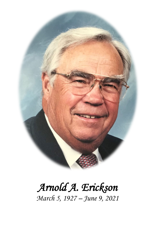

# *Arnold A. Erickson March 5, 1927 – June 9, 2021*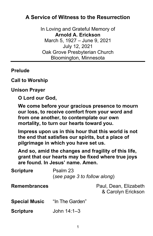# **A Service of Witness to the Resurrection**

In Loving and Grateful Memory of **Arnold A. Erickson** March 5, 1927 – June 9, 2021 July 12, 2021 Oak Grove Presbyterian Church Bloomington, Minnesota

#### **Prelude**

## **Call to Worship**

#### **Unison Prayer**

**O Lord our God,**

**We come before your gracious presence to mourn our loss, to receive comfort from your word and from one another, to contemplate our own mortality, to turn our hearts toward you.**

**Impress upon us in this hour that this world is not the end that satisfies our spirits, but a place of pilgrimage in which you have set us.**

**And so, amid the changes and fragility of this life, grant that our hearts may be fixed where true joys are found. In Jesus' name. Amen.**

| <b>Scripture</b>     | Psalm 23<br>(see page 3 to follow along) |                                             |
|----------------------|------------------------------------------|---------------------------------------------|
| <b>Remembrances</b>  |                                          | Paul, Dean, Elizabeth<br>& Carolyn Erickson |
| <b>Special Music</b> | "In The Garden"                          |                                             |
| <b>Scripture</b>     | John $14:1 - 3$                          |                                             |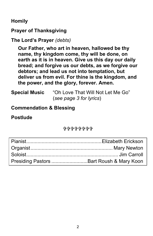**Homily**

**Prayer of Thanksgiving**

```
The Lord's Prayer (debts)
```
**Our Father, who art in heaven, hallowed be thy name, thy kingdom come, thy will be done, on earth as it is in heaven. Give us this day our daily bread; and forgive us our debts, as we forgive our debtors; and lead us not into temptation, but deliver us from evil. For thine is the kingdom, and the power, and the glory, forever. Amen.**

**Special Music** "Oh Love That Will Not Let Me Go" (*see page 3 for lyrics*)

**Commendation & Blessing**

## **Postlude**

0090000000

| Presiding Pastors Bart Roush & Mary Koon |  |
|------------------------------------------|--|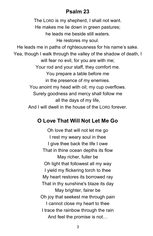# **Psalm 23**

The LORD is my shepherd, I shall not want. He makes me lie down in green pastures; he leads me beside still waters. He restores my soul. He leads me in paths of righteousness for his name's sake. Yea, though I walk through the valley of the shadow of death, I will fear no evil, for you are with me; Your rod and your staff, they comfort me. You prepare a table before me in the presence of my enemies. You anoint my head with oil; my cup overflows. Surely goodness and mercy shall follow me all the days of my life, And I will dwell in the house of the LORD forever.

## **O Love That Will Not Let Me Go**

Oh love that will not let me go I rest my weary soul in thee I give thee back the life I owe That in thine ocean depths its flow May richer, fuller be Oh light that followest all my way I yield my flickering torch to thee My heart restores its borrowed ray That in thy sunshine's blaze its day May brighter, fairer be Oh joy that seekest me through pain I cannot close my heart to thee I trace the rainbow through the rain And feel the promise is not…